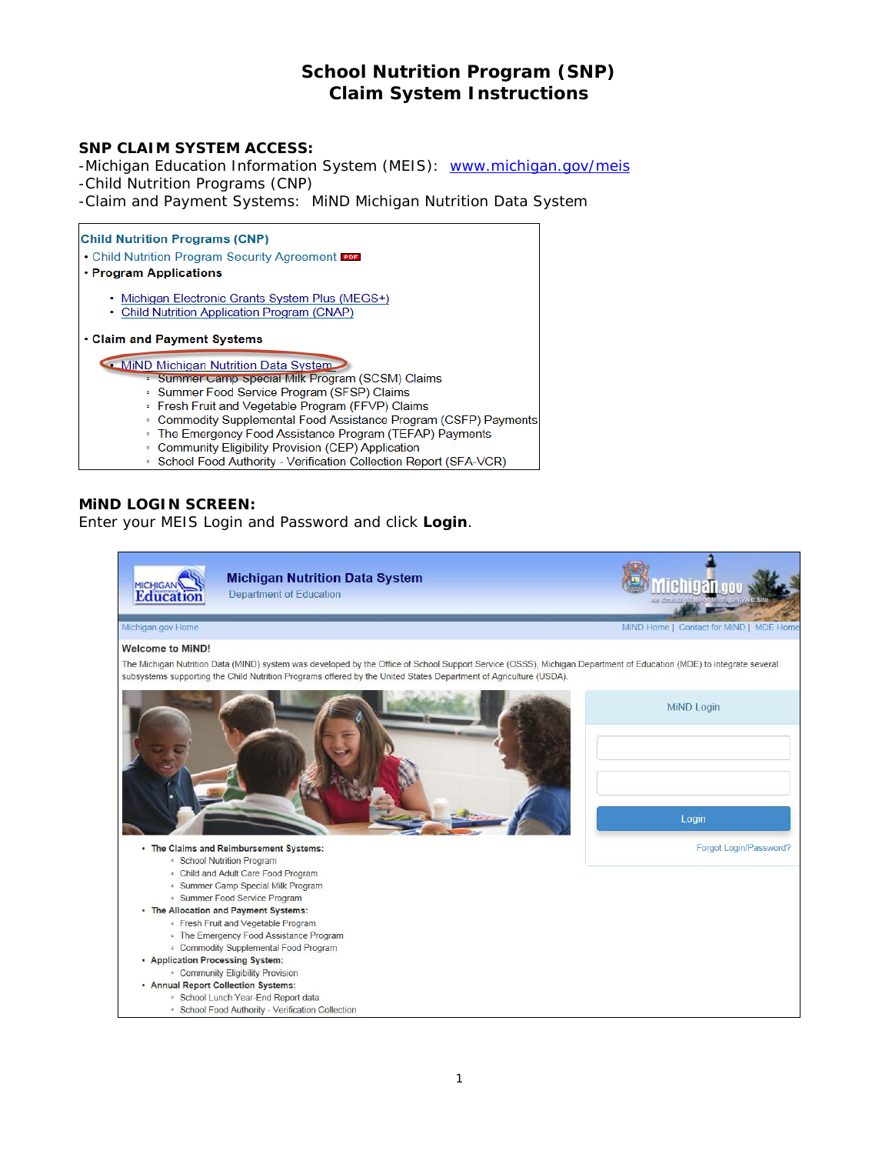# **School Nutrition Program (SNP) Claim System Instructions**

### **SNP CLAIM SYSTEM ACCESS:**

-Michigan Education Information System (MEIS): [www.michigan.gov/meis](http://www.michigan.gov/meis) -Child Nutrition Programs (CNP)

-Claim and Payment Systems: MiND Michigan Nutrition Data System

#### **Child Nutrition Programs (CNP)**

. Child Nutrition Program Security Agreement POF

#### · Program Applications

- · Michigan Electronic Grants System Plus (MEGS+)
- Child Nutrition Application Program (CNAP)

. Claim and Payment Systems

MiND Michigan Nutrition Data System

- Summer Camp Special Milk Program (SCSM) Claims
	- · Summer Food Service Program (SFSP) Claims
	- · Fresh Fruit and Vegetable Program (FFVP) Claims
	- Commodity Supplemental Food Assistance Program (CSFP) Payments
	- The Emergency Food Assistance Program (TEFAP) Payments
	- · Community Eligibility Provision (CEP) Application
	- School Food Authority Verification Collection Report (SFA-VCR)

### **MiND LOGIN SCREEN:**

Enter your MEIS Login and Password and click **Login**.

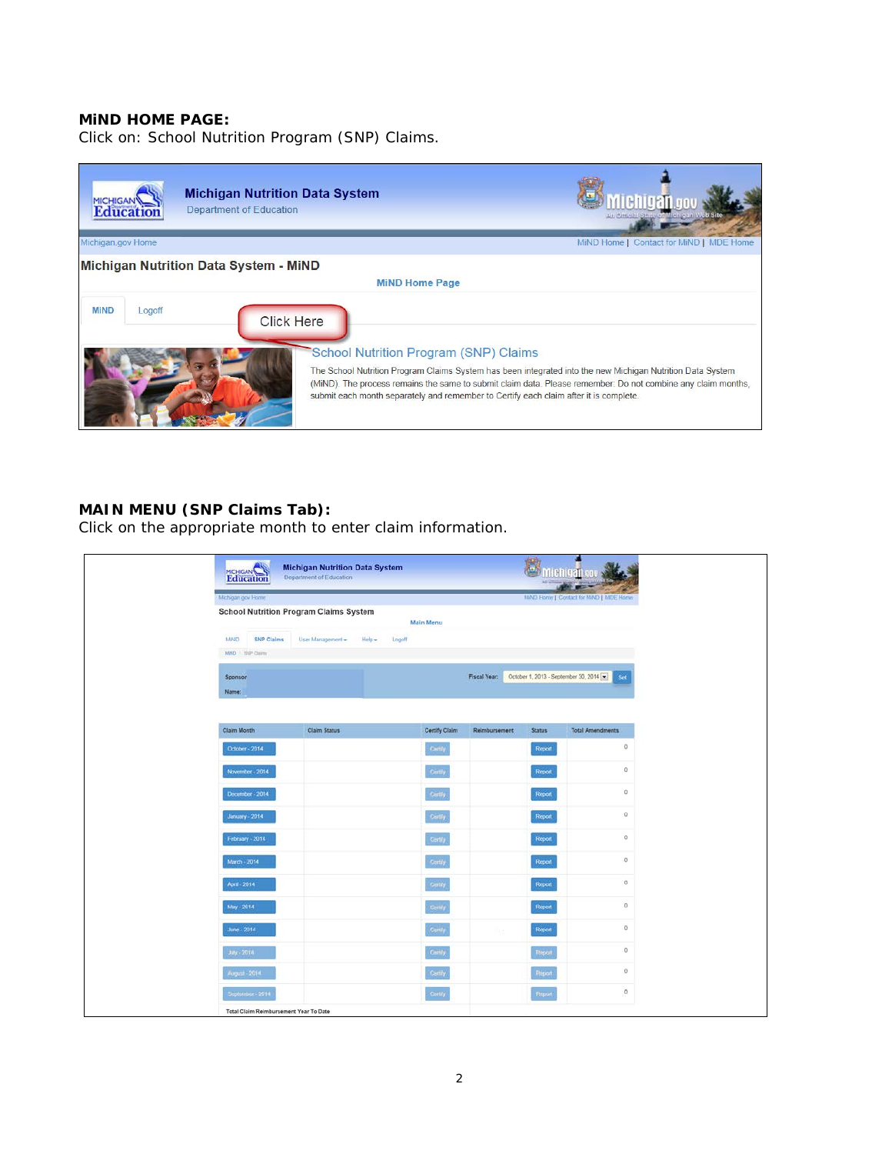#### **MiND HOME PAGE:**

Click on: School Nutrition Program (SNP) Claims.



### **MAIN MENU (SNP Claims Tab):**

Click on the appropriate month to enter claim information.

| Education                                 | <b>Michigan Nutrition Data System</b><br>Department of Education |                     |               | 营             | <b>Michigangov</b>                           |
|-------------------------------------------|------------------------------------------------------------------|---------------------|---------------|---------------|----------------------------------------------|
| Michigan gov Home                         |                                                                  |                     |               |               | ---<br>MAD Home   Contact for MAD   MDE Home |
|                                           | <b>School Nutrition Program Claims System</b>                    | Main Menu           |               |               |                                              |
| MAG<br><b>SNP Claims</b><br>MND 199 Claim | User Management - Help -<br>Logoff                               |                     |               |               |                                              |
| Sponsor<br>Name:                          |                                                                  |                     | Fiscal Year:  |               | October 1, 2013 - September 30, 2014<br>Set  |
| Claim Month                               | Claim Status                                                     | Certify Claim       | Reimbursement | <b>Status</b> | <b>Total Amendments</b>                      |
| October - 2014                            |                                                                  | Centry              |               | Report        | $\circ$                                      |
| November - 2014                           |                                                                  | Certify             |               | Report        | $\rm ^o$                                     |
| December - 2014                           |                                                                  | Certify             |               | <b>Report</b> | $\mathbb O$                                  |
| January - 2014                            |                                                                  | Certify.            |               | Report        | $\circ$                                      |
| February 2014                             |                                                                  | Cartify             |               | <b>Report</b> | $\alpha$                                     |
| March - 2014                              |                                                                  | Certify             |               | Report        | o                                            |
| April - 2014                              |                                                                  | <b>Certify</b>      |               | Report        | $\mathbb{O}$                                 |
| May - 2014                                |                                                                  | <b>Centy</b>        |               | Report        | $\overline{0}$                               |
| June - 2014                               |                                                                  | Centy               | $\sim 10$     | Report        | $\alpha$                                     |
| $J_{47} - 2014$                           |                                                                  | Centry              |               | <b>Report</b> | $\alpha$                                     |
| August - 2014                             |                                                                  | Catily <sup>)</sup> |               | <b>Report</b> | $\theta$                                     |
| September - 2014                          |                                                                  | Certify             |               | <b>Report</b> | $\circ$                                      |
| Total Claim Reimbursement Year To Date    |                                                                  |                     |               |               |                                              |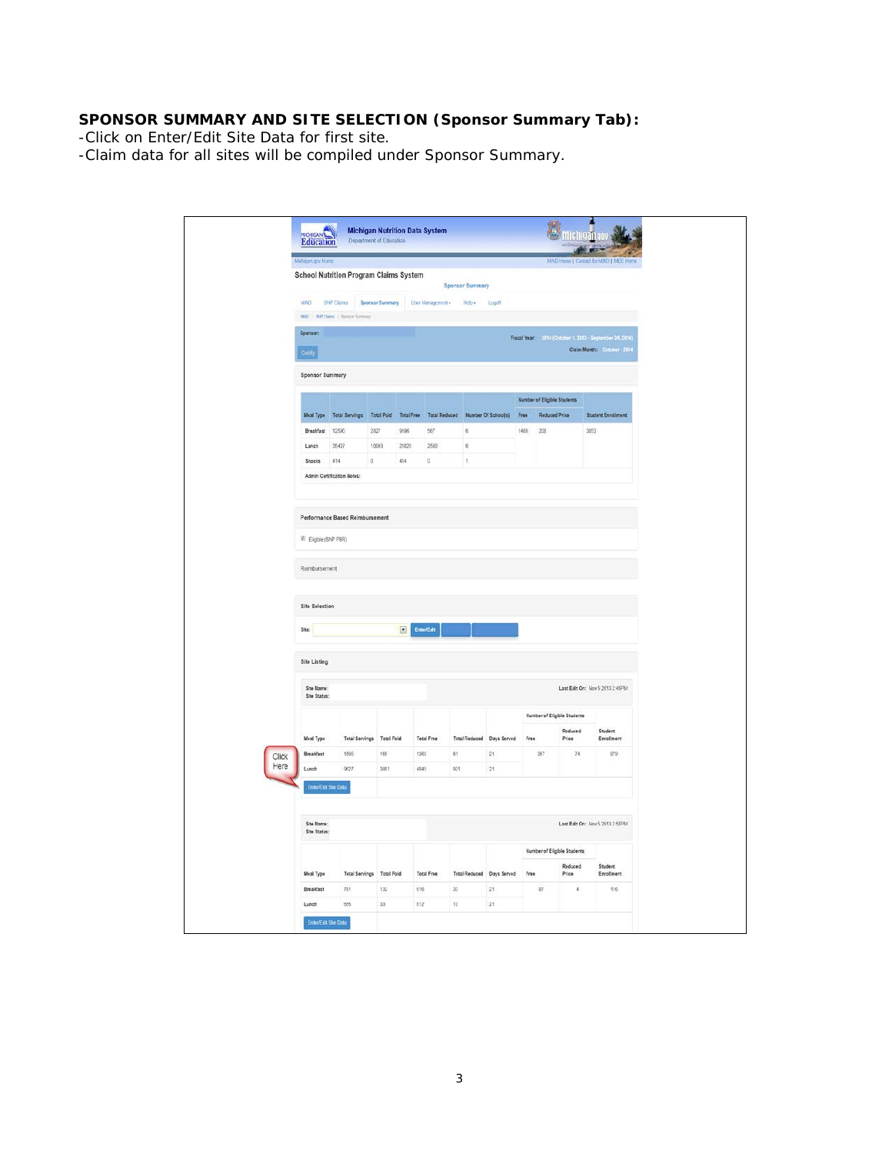# **SPONSOR SUMMARY AND SITE SELECTION (Sponsor Summary Tab):**

-Click on Enter/Edit Site Data for first site.

-Claim data for all sites will be compiled under Sponsor Summary.

| <b>Michigan goy Home</b> |                            |                                                                                       |             |           |                   |                                 |              |          |                             |                             | MAD Hone   Contact for MAD   MOE Home                    |
|--------------------------|----------------------------|---------------------------------------------------------------------------------------|-------------|-----------|-------------------|---------------------------------|--------------|----------|-----------------------------|-----------------------------|----------------------------------------------------------|
|                          |                            | School Nutrition Program Claims System                                                |             |           |                   | <b>Sponsor Summary</b>          |              |          |                             |                             |                                                          |
| MND                      |                            | SNP Claims Sponsor Summary User Management - Help - Logoff                            |             |           |                   |                                 |              |          |                             |                             |                                                          |
|                          |                            | MAD : BMP Chers   Spoule Surroury                                                     |             |           |                   |                                 |              |          |                             |                             |                                                          |
| Sponsor:                 |                            |                                                                                       |             |           |                   |                                 |              |          |                             |                             | Fiscal Year: 2014 (October 1, 2013 - September 30, 2014) |
| <b>Centre</b>            |                            |                                                                                       |             |           |                   |                                 |              |          |                             |                             | Claim Month: October - 2014                              |
|                          | <b>Sponsor Summary</b>     |                                                                                       |             |           |                   |                                 |              |          |                             |                             |                                                          |
|                          |                            |                                                                                       |             |           |                   |                                 |              |          |                             |                             |                                                          |
|                          |                            |                                                                                       |             |           |                   |                                 |              |          | Number of Eligible Students |                             |                                                          |
|                          |                            | Meal Type Total Servings Total Paid Total Free Total Reduced Number Of School(s) Free |             |           |                   |                                 |              |          | Reduced Price               |                             | Student Enrollment                                       |
|                          | Breakfast 12590            |                                                                                       | 2827        | 9196      | 567               | $\bar{\bf 6}$                   |              | 1489 208 |                             |                             | 3053                                                     |
| Lunch                    |                            | 35407                                                                                 | 10093       | 21826     | 2588              | $\mathbf{6}$                    |              |          |                             |                             |                                                          |
|                          | <b>Snacks</b>              | $-414$<br>Admin Certification Notes:                                                  | $\mathbf 0$ | 414       | đ.                | $\frac{1}{2}$                   |              |          |                             |                             |                                                          |
|                          |                            |                                                                                       |             |           |                   |                                 |              |          |                             |                             |                                                          |
|                          |                            |                                                                                       |             |           |                   |                                 |              |          |                             |                             |                                                          |
|                          |                            | Performance Based Reimbursement                                                       |             |           |                   |                                 |              |          |                             |                             |                                                          |
|                          |                            | E Eighie (SNP PBR)                                                                    |             |           |                   |                                 |              |          |                             |                             |                                                          |
|                          |                            |                                                                                       |             |           |                   |                                 |              |          |                             |                             |                                                          |
|                          |                            |                                                                                       |             |           |                   |                                 |              |          |                             |                             |                                                          |
|                          | Reimbursement              |                                                                                       |             |           |                   |                                 |              |          |                             |                             |                                                          |
|                          |                            |                                                                                       |             |           |                   |                                 |              |          |                             |                             |                                                          |
|                          | Site Selection             |                                                                                       |             |           |                   |                                 |              |          |                             |                             |                                                          |
|                          |                            |                                                                                       |             |           |                   |                                 |              |          |                             |                             |                                                          |
| Site:                    |                            |                                                                                       |             | EnterFold |                   |                                 |              |          |                             |                             |                                                          |
|                          | Site Listing               |                                                                                       |             |           |                   |                                 |              |          |                             |                             |                                                          |
|                          |                            |                                                                                       |             |           |                   |                                 |              |          |                             |                             |                                                          |
|                          | Site Name:<br>Site Status: |                                                                                       |             |           |                   |                                 |              |          |                             |                             | Last Edit On: Nov 5 2013 2:49PM                          |
|                          |                            |                                                                                       |             |           |                   |                                 |              |          |                             | Number of Eligible Students |                                                          |
|                          |                            |                                                                                       |             |           | <b>Total Free</b> |                                 |              | Free     |                             | Reduced<br>Price            | Student<br>Enrollment                                    |
|                          | Meal Type                  | Total Servings Total Paid                                                             | 165         |           |                   | Total Reduced Days Served<br>61 |              |          | 357                         | 74                          | 879                                                      |
| Lunch                    | Breakfast                  | 1595<br>9627                                                                          | 3851        |           | 1369<br>4845      | 921                             | $21\,$<br>21 |          |                             |                             |                                                          |
|                          |                            |                                                                                       |             |           |                   |                                 |              |          |                             |                             |                                                          |
| Click<br>Here            |                            | Enter/Edit Site Data                                                                  |             |           |                   |                                 |              |          |                             |                             |                                                          |
|                          | Site Name:                 |                                                                                       |             |           |                   |                                 |              |          |                             |                             | Last Edit On: Nov 5 2013 2 50PM                          |
|                          | Site Status:               |                                                                                       |             |           |                   |                                 |              |          |                             |                             |                                                          |
|                          |                            |                                                                                       |             |           |                   |                                 |              |          |                             | Number of Eligible Students |                                                          |
|                          | Meal Type                  | Total Servings Total Paid                                                             |             |           | <b>Total Free</b> | Total Reduced Days Served Free  |              |          |                             | Reduced<br>Price            | Student<br>Enrollment                                    |
|                          | Breakfast                  | 781                                                                                   | 132         | 616       |                   | $33^{\circ}$                    | 21.          |          | $87$                        | 4.1                         | 116                                                      |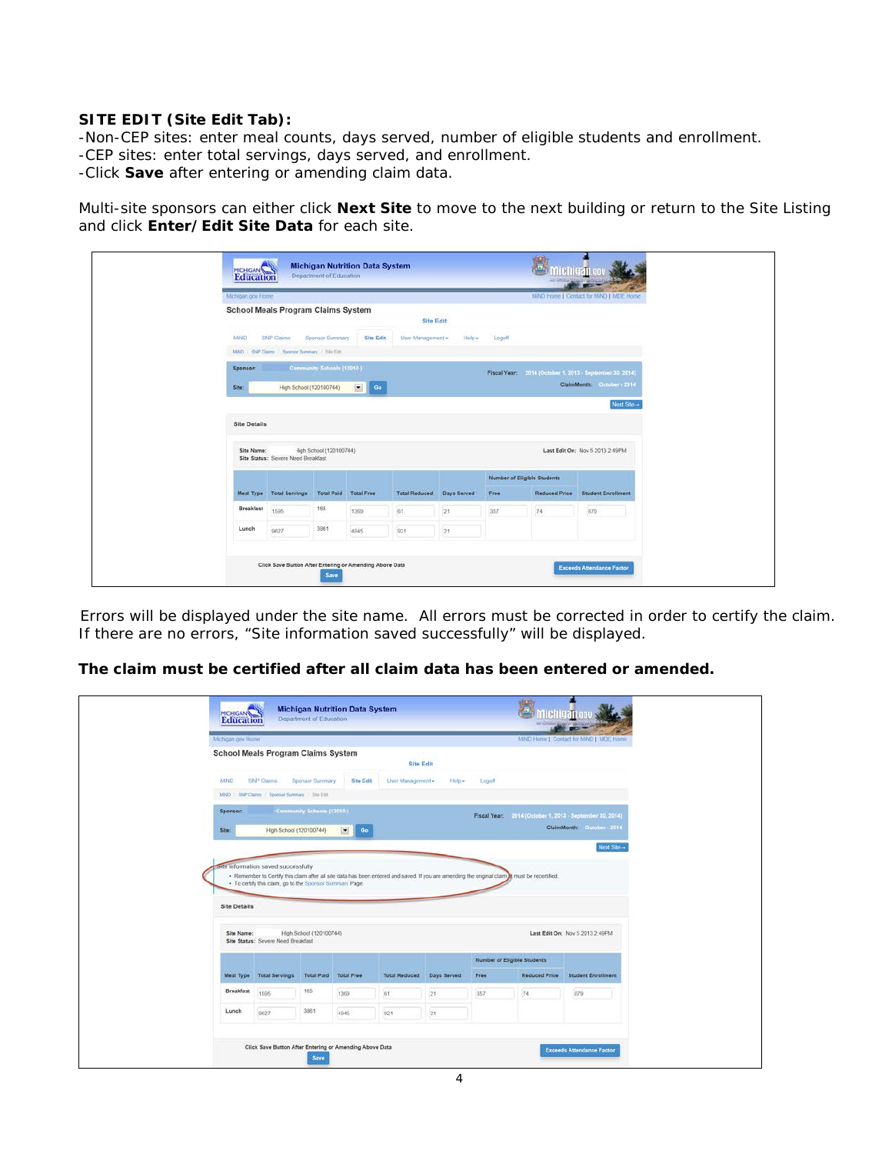#### **SITE EDIT (Site Edit Tab):**

-Non-CEP sites: enter meal counts, days served, number of eligible students and enrollment. -CEP sites: enter total servings, days served, and enrollment. -Click **Save** after entering or amending claim data.

Multi-site sponsors can either click **Next Site** to move to the next building or return to the Site Listing and click **Enter/Edit Site Data** for each site.

|                     | Michigan gov Home                                            |                           |              |                      |             |                                    |               | MAD Home [ Contact for MAD   MDE Home                                                  |
|---------------------|--------------------------------------------------------------|---------------------------|--------------|----------------------|-------------|------------------------------------|---------------|----------------------------------------------------------------------------------------|
|                     | <b>School Meals Program Claims System</b>                    |                           |              | <b>Site Edit</b>     |             |                                    |               |                                                                                        |
| MiNO                | SNP Claims<br>MND : SNP Claims / Sponsor Summary / Stiz Edit | Sponsor Summary           | Site Edit    | User Management -    |             | Help Logoff                        |               |                                                                                        |
| Sponsor:<br>Site:   | High School (120100744)                                      | Community Schools (12010) | $\Box$<br>Go |                      |             |                                    |               | Fiscal Year: 2014 (October 1, 2013 - September 30, 2014)<br>ClaimMonth: October - 2014 |
|                     |                                                              |                           |              |                      |             |                                    |               | Next Site-                                                                             |
|                     |                                                              |                           |              |                      |             |                                    |               |                                                                                        |
| <b>Site Details</b> |                                                              |                           |              |                      |             |                                    |               |                                                                                        |
| Site Name:          | Site Status: Severe Need Breakfast                           | figh School (120100744)   |              |                      |             |                                    |               | Last Edit On: Nov 5 2013 2:49PM                                                        |
|                     |                                                              |                           |              |                      |             | <b>Number of Eligible Students</b> |               |                                                                                        |
|                     | Meal Type Total Servings                                     | Total Paid Total Free     |              | <b>Total Reduced</b> | Days Served | Free                               | Reduced Price | <b>Student Enrollment</b>                                                              |
| Breakfast           | 1595                                                         | 165                       | 1369         | 61                   | 21          | 357                                | 74            | 879                                                                                    |

 Errors will be displayed under the site name. All errors must be corrected in order to certify the claim. If there are no errors, "Site information saved successfully" will be displayed.

**The claim must be certified after all claim data has been entered or amended.** 

| Michigan gov Home   |                                                                                                 |                              |                   |                      |             |        |                                                                                                                                                 | MND Home   Contact for MND   MDE Home |
|---------------------|-------------------------------------------------------------------------------------------------|------------------------------|-------------------|----------------------|-------------|--------|-------------------------------------------------------------------------------------------------------------------------------------------------|---------------------------------------|
|                     | <b>School Meals Program Claims System</b>                                                       |                              |                   | <b>Site Edit</b>     |             |        |                                                                                                                                                 |                                       |
| <b>MAKO</b>         | <b>SNP Claims</b>                                                                               | Sponsor Summary              | Site Edit         | User Management -    |             |        |                                                                                                                                                 |                                       |
|                     | MND 5RP Claims Sponsor Summary / 386 Edit                                                       |                              |                   |                      | $Heip -$    | Logoff |                                                                                                                                                 |                                       |
| Sponsor:            |                                                                                                 | Community Schools (12010)    |                   |                      |             |        |                                                                                                                                                 |                                       |
|                     |                                                                                                 |                              |                   |                      |             |        | Fincal Year: 2014 (October 1, 2013 - September 30, 2014)                                                                                        | ClaimMonth: October - 2014            |
|                     |                                                                                                 | High School (120100744)      | $\boxed{2}$<br>Go |                      |             |        |                                                                                                                                                 |                                       |
| Site:               |                                                                                                 |                              |                   |                      |             |        |                                                                                                                                                 |                                       |
| <b>Site Details</b> | site information saved successfully<br>. To certify this claim, go to the Sponsor Summary Page. |                              |                   |                      |             |        | . Remember to Certify this claim after all site data has been entered and saved. If you are amending the original claim it must be recertified. | Next Site                             |
| Site Name:          | Site Status: Severe Need Breakfast                                                              | High School (120100744)      |                   |                      |             |        |                                                                                                                                                 | Last Edit On: Nov 5 2013 2:49PM       |
|                     | Meal Type Total Servings                                                                        | <b>Total Paid Total Free</b> |                   | <b>Total Reduced</b> | Days Served | Free   | Number of Eligible Students<br>Reduced Price                                                                                                    | <b>Student Enrollment</b>             |
| <b>Breakfast</b>    | 1595                                                                                            | 165                          | 1369              | 61                   | 21          | 357    | 74                                                                                                                                              | 879                                   |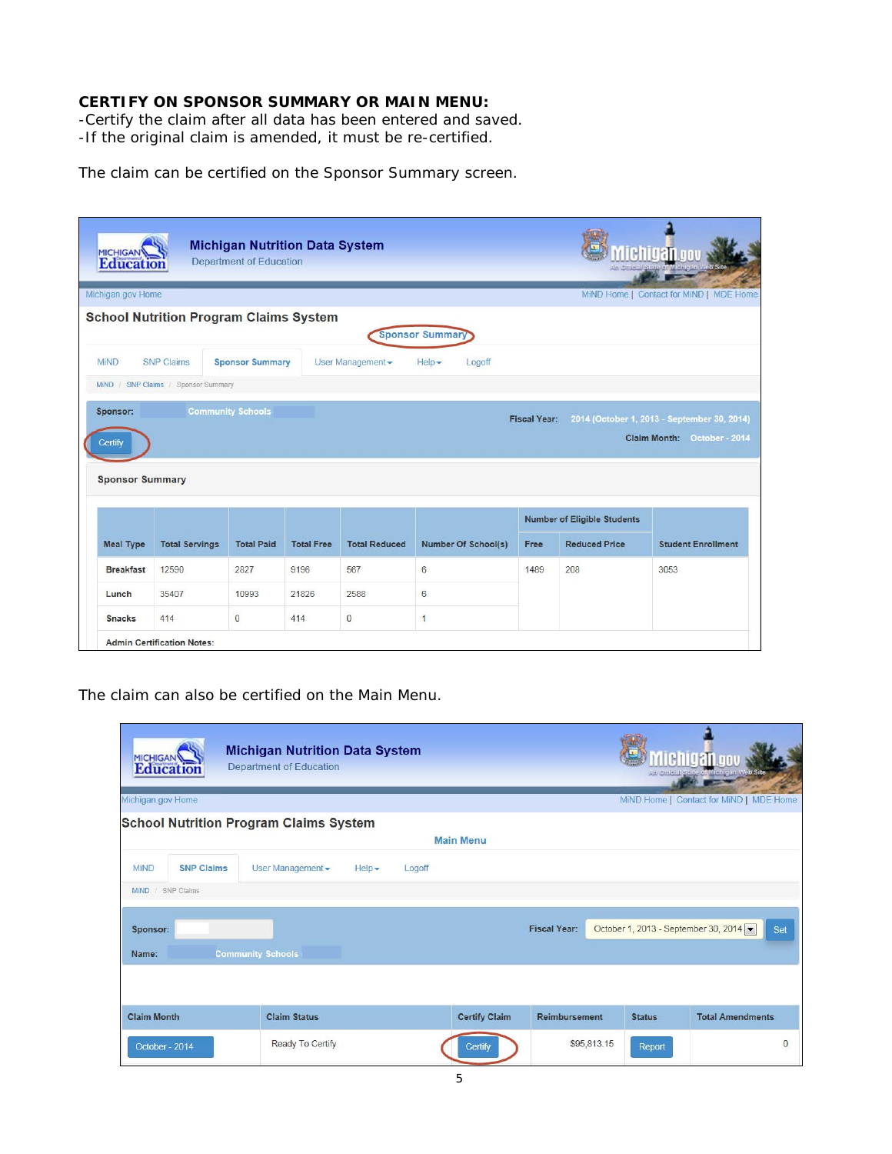#### **CERTIFY ON SPONSOR SUMMARY OR MAIN MENU:**

-Certify the claim after all data has been entered and saved. -If the original claim is amended, it must be re-certified.

The claim can be certified on the Sponsor Summary screen.

| <b>MICHIGAN</b><br><b>Education</b>                        |                                               | <b>Michigan Nutrition Data System</b><br>Department of Education |                   | LE 20<br>Alt Omeial/State of Michigan Web Site<br>$\sim$ $\sim$ $\sim$ |                                 |                     |                                    |                                                                            |
|------------------------------------------------------------|-----------------------------------------------|------------------------------------------------------------------|-------------------|------------------------------------------------------------------------|---------------------------------|---------------------|------------------------------------|----------------------------------------------------------------------------|
| Michigan.gov Home                                          |                                               |                                                                  |                   |                                                                        |                                 |                     |                                    | MiND Home   Contact for MiND   MDE Home                                    |
|                                                            | <b>School Nutrition Program Claims System</b> |                                                                  |                   |                                                                        | <b>Sponsor Summary</b>          |                     |                                    |                                                                            |
| <b>MIND</b>                                                | <b>SNP Claims</b>                             | <b>Sponsor Summary</b>                                           |                   | User Management -                                                      | $He$ lp $\rightarrow$<br>Logoff |                     |                                    |                                                                            |
|                                                            |                                               |                                                                  |                   |                                                                        |                                 |                     |                                    |                                                                            |
| MiND / SNP Claims / Sponsor Summary<br>Sponsor:<br>Certify |                                               | <b>Community Schools</b>                                         |                   |                                                                        |                                 | <b>Fiscal Year:</b> |                                    | 2014 (October 1, 2013 - September 30, 2014)<br>Claim Month: October - 2014 |
| <b>Sponsor Summary</b>                                     |                                               |                                                                  |                   |                                                                        |                                 |                     | <b>Number of Eligible Students</b> |                                                                            |
| <b>Meal Type</b>                                           | <b>Total Servings</b>                         | <b>Total Paid</b>                                                | <b>Total Free</b> | <b>Total Reduced</b>                                                   | Number Of School(s)             | Free                | <b>Reduced Price</b>               | <b>Student Enrollment</b>                                                  |
| <b>Breakfast</b>                                           | 12590                                         | 2827                                                             | 9196              | 567                                                                    | 6                               | 1489                | 208                                | 3053                                                                       |
| Lunch                                                      | 35407                                         | 10993                                                            | 21826             | 2588                                                                   | 6                               |                     |                                    |                                                                            |

The claim can also be certified on the Main Menu.

| Education<br>Michigan.gov Home   | <b>Michigan Nutrition Data System</b><br><b>Department of Education</b> |                    |                      |                     |             |               | ichigan<br>An Omeral State of Michigan Web Site<br>MiND Home   Contact for MiND   MDE Home |
|----------------------------------|-------------------------------------------------------------------------|--------------------|----------------------|---------------------|-------------|---------------|--------------------------------------------------------------------------------------------|
|                                  | <b>School Nutrition Program Claims System</b>                           |                    |                      |                     |             |               |                                                                                            |
|                                  |                                                                         |                    | <b>Main Menu</b>     |                     |             |               |                                                                                            |
| <b>SNP Claims</b><br><b>MiND</b> | User Management -                                                       | $Heip -$<br>Logoff |                      |                     |             |               |                                                                                            |
| MiND / SNP Claims                |                                                                         |                    |                      |                     |             |               |                                                                                            |
| Sponsor:<br>Name:                | <b>Community Schools</b>                                                |                    |                      | <b>Fiscal Year:</b> |             |               | October 1, 2013 - September 30, 2014<br>Set                                                |
|                                  |                                                                         |                    |                      |                     |             |               |                                                                                            |
| <b>Claim Month</b>               | <b>Claim Status</b>                                                     |                    | <b>Certify Claim</b> | Reimbursement       |             | <b>Status</b> | <b>Total Amendments</b>                                                                    |
| October - 2014                   | Ready To Certify                                                        |                    | Certify              |                     | \$95,813.15 | Report        | $\mathbf{0}$                                                                               |